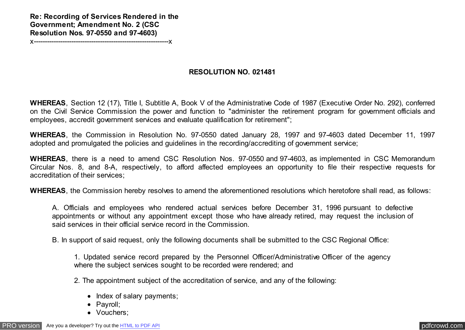**Re: Recording of Services Rendered in the Government; Amendment No. 2 (CSC Resolution Nos. 97-0550 and 97-4603)**

x-------------------------------------------------------------x

## **RESOLUTION NO. 021481**

**WHEREAS**, Section 12 (17), Title I, Subtitle A, Book V of the Administrative Code of 1987 (Executive Order No. 292), conferred on the Civil Service Commission the power and function to "administer the retirement program for government officials and employees, accredit government services and evaluate qualification for retirement";

**WHEREAS**, the Commission in Resolution No. 97-0550 dated January 28, 1997 and 97-4603 dated December 11, 1997 adopted and promulgated the policies and guidelines in the recording/accrediting of government service;

**WHEREAS**, there is a need to amend CSC Resolution Nos. 97-0550 and 97-4603, as implemented in CSC Memorandum Circular Nos. 8, and 8-A, respectively, to afford affected employees an opportunity to file their respective requests for accreditation of their services;

**WHEREAS**, the Commission hereby resolves to amend the aforementioned resolutions which heretofore shall read, as follows:

A. Officials and employees who rendered actual services before December 31, 1996 pursuant to defective appointments or without any appointment except those who have already retired, may request the inclusion of said services in their official service record in the Commission.

B. In support of said request, only the following documents shall be submitted to the CSC Regional Office:

1. Updated service record prepared by the Personnel Officer/Administrative Officer of the agency where the subject services sought to be recorded were rendered; and

2. The appointment subject of the accreditation of service, and any of the following:

- Index of salary payments;
- Payroll;
- Vouchers;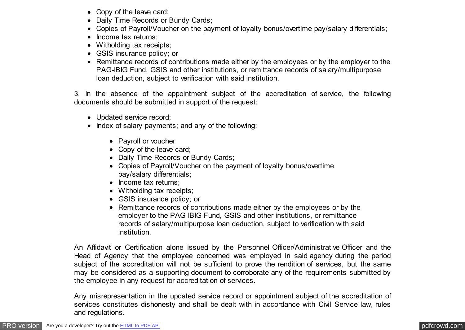- Copy of the leave card;
- Daily Time Records or Bundy Cards;
- Copies of Payroll/Voucher on the payment of loyalty bonus/overtime pay/salary differentials;
- Income tax returns:
- Witholding tax receipts;
- GSIS insurance policy; or
- Remittance records of contributions made either by the employees or by the employer to the PAG-IBIG Fund, GSIS and other institutions, or remittance records of salary/multipurpose loan deduction, subject to verification with said institution.

3. In the absence of the appointment subject of the accreditation of service, the following documents should be submitted in support of the request:

- Updated service record;
- Index of salary payments; and any of the following:
	- Payroll or voucher
	- Copy of the leave card;
	- Daily Time Records or Bundy Cards;
	- Copies of Payroll/Voucher on the payment of loyalty bonus/overtime pay/salary differentials;
	- Income tax returns:
	- Witholding tax receipts;
	- GSIS insurance policy; or
	- Remittance records of contributions made either by the employees or by the employer to the PAG-IBIG Fund, GSIS and other institutions, or remittance records of salary/multipurpose loan deduction, subject to verification with said institution.

An Affidavit or Certification alone issued by the Personnel Officer/Administrative Officer and the Head of Agency that the employee concerned was employed in said agency during the period subject of the accreditation will not be sufficient to prove the rendition of services, but the same may be considered as a supporting document to corroborate any of the requirements submitted by the employee in any request for accreditation of services.

Any misrepresentation in the updated service record or appointment subject of the accreditation of services constitutes dishonesty and shall be dealt with in accordance with Civil Service law, rules and regulations.